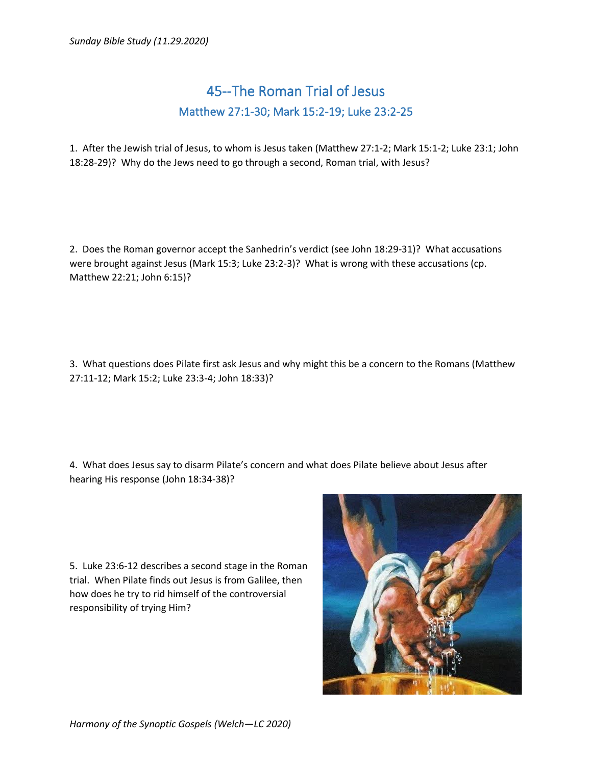## 45--The Roman Trial of Jesus Matthew 27:1-30; Mark 15:2-19; Luke 23:2-25

1. After the Jewish trial of Jesus, to whom is Jesus taken (Matthew 27:1-2; Mark 15:1-2; Luke 23:1; John 18:28-29)? Why do the Jews need to go through a second, Roman trial, with Jesus?

2. Does the Roman governor accept the Sanhedrin's verdict (see John 18:29-31)? What accusations were brought against Jesus (Mark 15:3; Luke 23:2-3)? What is wrong with these accusations (cp. Matthew 22:21; John 6:15)?

3. What questions does Pilate first ask Jesus and why might this be a concern to the Romans (Matthew 27:11-12; Mark 15:2; Luke 23:3-4; John 18:33)?

4. What does Jesus say to disarm Pilate's concern and what does Pilate believe about Jesus after hearing His response (John 18:34-38)?

5. Luke 23:6-12 describes a second stage in the Roman trial. When Pilate finds out Jesus is from Galilee, then how does he try to rid himself of the controversial responsibility of trying Him?